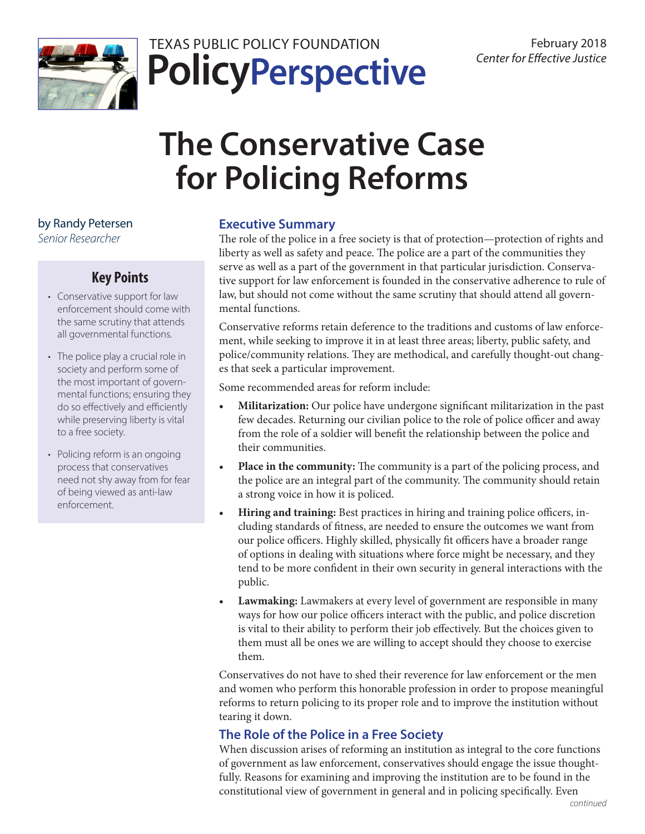

## **PolicyPerspective** TEXAS PUBLIC POLICY FOUNDATION February 2018

# **The Conservative Case for Policing Reforms**

by Randy Petersen

*Senior Researcher*

## **Key Points**

- Conservative support for law enforcement should come with the same scrutiny that attends all governmental functions.
- The police play a crucial role in society and perform some of the most important of governmental functions; ensuring they do so effectively and efficiently while preserving liberty is vital to a free society.
- Policing reform is an ongoing process that conservatives need not shy away from for fear of being viewed as anti-law enforcement.

## **Executive Summary**

The role of the police in a free society is that of protection—protection of rights and liberty as well as safety and peace. The police are a part of the communities they serve as well as a part of the government in that particular jurisdiction. Conservative support for law enforcement is founded in the conservative adherence to rule of law, but should not come without the same scrutiny that should attend all governmental functions.

Conservative reforms retain deference to the traditions and customs of law enforcement, while seeking to improve it in at least three areas; liberty, public safety, and police/community relations. They are methodical, and carefully thought-out changes that seek a particular improvement.

Some recommended areas for reform include:

- **• Militarization:** Our police have undergone significant militarization in the past few decades. Returning our civilian police to the role of police officer and away from the role of a soldier will benefit the relationship between the police and their communities.
- **• Place in the community:** The community is a part of the policing process, and the police are an integral part of the community. The community should retain a strong voice in how it is policed.
- **• Hiring and training:** Best practices in hiring and training police officers, including standards of fitness, are needed to ensure the outcomes we want from our police officers. Highly skilled, physically fit officers have a broader range of options in dealing with situations where force might be necessary, and they tend to be more confident in their own security in general interactions with the public.
- **• Lawmaking:** Lawmakers at every level of government are responsible in many ways for how our police officers interact with the public, and police discretion is vital to their ability to perform their job effectively. But the choices given to them must all be ones we are willing to accept should they choose to exercise them.

Conservatives do not have to shed their reverence for law enforcement or the men and women who perform this honorable profession in order to propose meaningful reforms to return policing to its proper role and to improve the institution without tearing it down.

## **The Role of the Police in a Free Society**

When discussion arises of reforming an institution as integral to the core functions of government as law enforcement, conservatives should engage the issue thoughtfully. Reasons for examining and improving the institution are to be found in the constitutional view of government in general and in policing specifically. Even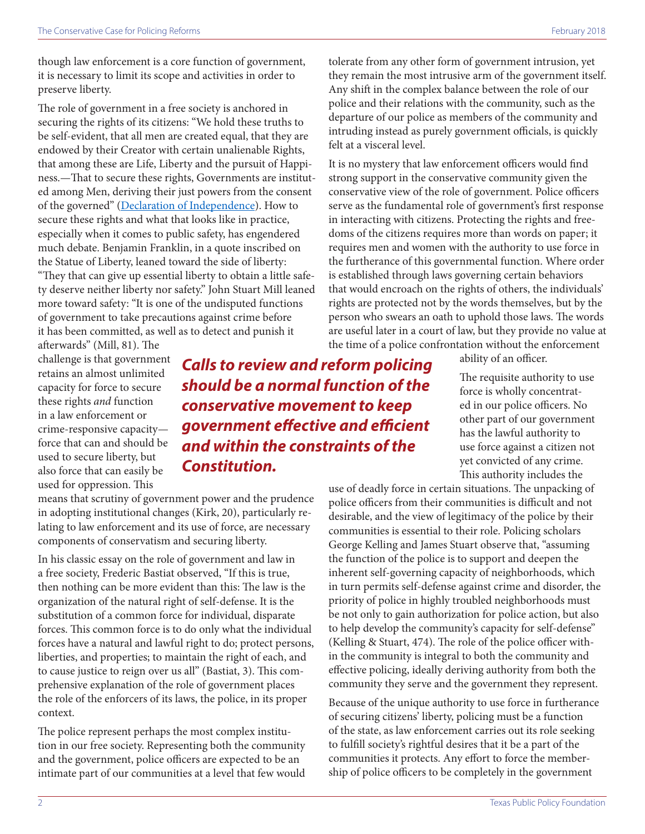though law enforcement is a core function of government, it is necessary to limit its scope and activities in order to preserve liberty.

The role of government in a free society is anchored in securing the rights of its citizens: "We hold these truths to be self-evident, that all men are created equal, that they are endowed by their Creator with certain unalienable Rights, that among these are Life, Liberty and the pursuit of Happiness.—That to secure these rights, Governments are instituted among Men, deriving their just powers from the consent of the governed" ([Declaration of Independence](https://www.archives.gov/founding-docs/declaration-transcript)). How to secure these rights and what that looks like in practice, especially when it comes to public safety, has engendered much debate. Benjamin Franklin, in a quote inscribed on the Statue of Liberty, leaned toward the side of liberty: "They that can give up essential liberty to obtain a little safety deserve neither liberty nor safety." John Stuart Mill leaned more toward safety: "It is one of the undisputed functions of government to take precautions against crime before it has been committed, as well as to detect and punish it

afterwards" (Mill, 81). The challenge is that government retains an almost unlimited capacity for force to secure these rights *and* function in a law enforcement or crime-responsive capacity force that can and should be used to secure liberty, but also force that can easily be used for oppression. This

## *Calls to review and reform policing should be a normal function of the conservative movement to keep government effective and efficient and within the constraints of the Constitution.*

means that scrutiny of government power and the prudence in adopting institutional changes (Kirk, 20), particularly relating to law enforcement and its use of force, are necessary components of conservatism and securing liberty.

In his classic essay on the role of government and law in a free society, Frederic Bastiat observed, "If this is true, then nothing can be more evident than this: The law is the organization of the natural right of self-defense. It is the substitution of a common force for individual, disparate forces. This common force is to do only what the individual forces have a natural and lawful right to do; protect persons, liberties, and properties; to maintain the right of each, and to cause justice to reign over us all" (Bastiat, 3). This comprehensive explanation of the role of government places the role of the enforcers of its laws, the police, in its proper context.

The police represent perhaps the most complex institution in our free society. Representing both the community and the government, police officers are expected to be an intimate part of our communities at a level that few would tolerate from any other form of government intrusion, yet they remain the most intrusive arm of the government itself. Any shift in the complex balance between the role of our police and their relations with the community, such as the departure of our police as members of the community and intruding instead as purely government officials, is quickly felt at a visceral level.

It is no mystery that law enforcement officers would find strong support in the conservative community given the conservative view of the role of government. Police officers serve as the fundamental role of government's first response in interacting with citizens. Protecting the rights and freedoms of the citizens requires more than words on paper; it requires men and women with the authority to use force in the furtherance of this governmental function. Where order is established through laws governing certain behaviors that would encroach on the rights of others, the individuals' rights are protected not by the words themselves, but by the person who swears an oath to uphold those laws. The words are useful later in a court of law, but they provide no value at the time of a police confrontation without the enforcement

ability of an officer.

The requisite authority to use force is wholly concentrated in our police officers. No other part of our government has the lawful authority to use force against a citizen not yet convicted of any crime. This authority includes the

use of deadly force in certain situations. The unpacking of police officers from their communities is difficult and not desirable, and the view of legitimacy of the police by their communities is essential to their role. Policing scholars George Kelling and James Stuart observe that, "assuming the function of the police is to support and deepen the inherent self-governing capacity of neighborhoods, which in turn permits self-defense against crime and disorder, the priority of police in highly troubled neighborhoods must be not only to gain authorization for police action, but also to help develop the community's capacity for self-defense" (Kelling & Stuart, 474). The role of the police officer within the community is integral to both the community and effective policing, ideally deriving authority from both the community they serve and the government they represent.

Because of the unique authority to use force in furtherance of securing citizens' liberty, policing must be a function of the state, as law enforcement carries out its role seeking to fulfill society's rightful desires that it be a part of the communities it protects. Any effort to force the membership of police officers to be completely in the government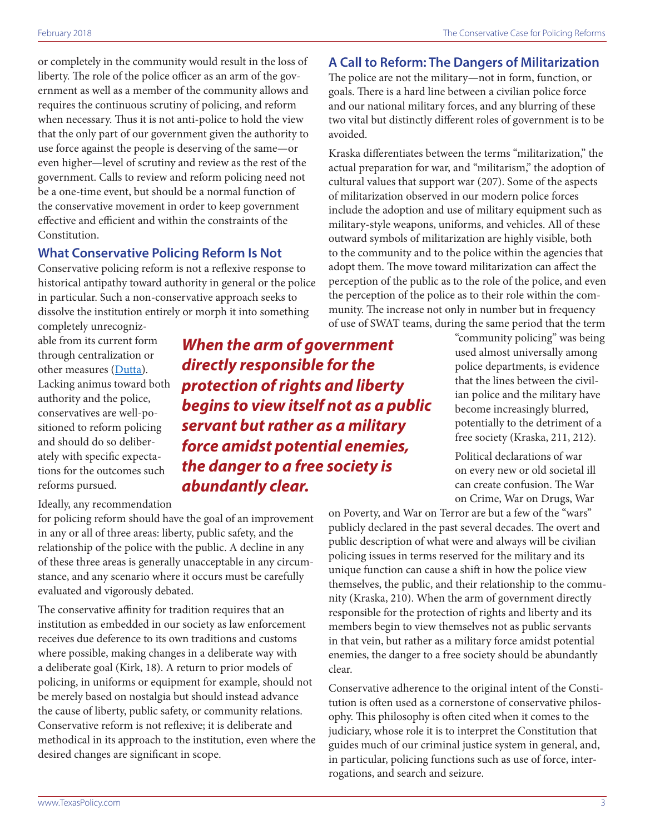or completely in the community would result in the loss of liberty. The role of the police officer as an arm of the government as well as a member of the community allows and requires the continuous scrutiny of policing, and reform when necessary. Thus it is not anti-police to hold the view that the only part of our government given the authority to use force against the people is deserving of the same—or even higher—level of scrutiny and review as the rest of the government. Calls to review and reform policing need not be a one-time event, but should be a normal function of the conservative movement in order to keep government effective and efficient and within the constraints of the Constitution.

## **What Conservative Policing Reform Is Not**

Conservative policing reform is not a reflexive response to historical antipathy toward authority in general or the police in particular. Such a non-conservative approach seeks to dissolve the institution entirely or morph it into something

completely unrecognizable from its current form through centralization or other measures [\(Dutta](https://www.washingtonpost.com/posteverything/wp/2014/11/25/we-should-get-rid-of-local-policing-ferguson-shows-why-the-system-just-doesnt-work/?utm_term=.e9adb60fc2c9)). Lacking animus toward both authority and the police, conservatives are well-positioned to reform policing and should do so deliberately with specific expectations for the outcomes such reforms pursued.

Ideally, any recommendation

for policing reform should have the goal of an improvement in any or all of three areas: liberty, public safety, and the relationship of the police with the public. A decline in any of these three areas is generally unacceptable in any circumstance, and any scenario where it occurs must be carefully evaluated and vigorously debated.

The conservative affinity for tradition requires that an institution as embedded in our society as law enforcement receives due deference to its own traditions and customs where possible, making changes in a deliberate way with a deliberate goal (Kirk, 18). A return to prior models of policing, in uniforms or equipment for example, should not be merely based on nostalgia but should instead advance the cause of liberty, public safety, or community relations. Conservative reform is not reflexive; it is deliberate and methodical in its approach to the institution, even where the desired changes are significant in scope.

*When the arm of government directly responsible for the protection of rights and liberty begins to view itself not as a public servant but rather as a military force amidst potential enemies, the danger to a free society is abundantly clear.*

## **A Call to Reform: The Dangers of Militarization**

The police are not the military—not in form, function, or goals. There is a hard line between a civilian police force and our national military forces, and any blurring of these two vital but distinctly different roles of government is to be avoided.

Kraska differentiates between the terms "militarization," the actual preparation for war, and "militarism," the adoption of cultural values that support war (207). Some of the aspects of militarization observed in our modern police forces include the adoption and use of military equipment such as military-style weapons, uniforms, and vehicles. All of these outward symbols of militarization are highly visible, both to the community and to the police within the agencies that adopt them. The move toward militarization can affect the perception of the public as to the role of the police, and even the perception of the police as to their role within the community. The increase not only in number but in frequency of use of SWAT teams, during the same period that the term

"community policing" was being used almost universally among police departments, is evidence that the lines between the civilian police and the military have become increasingly blurred, potentially to the detriment of a free society (Kraska, 211, 212).

Political declarations of war on every new or old societal ill can create confusion. The War on Crime, War on Drugs, War

on Poverty, and War on Terror are but a few of the "wars" publicly declared in the past several decades. The overt and public description of what were and always will be civilian policing issues in terms reserved for the military and its unique function can cause a shift in how the police view themselves, the public, and their relationship to the community (Kraska, 210). When the arm of government directly responsible for the protection of rights and liberty and its members begin to view themselves not as public servants in that vein, but rather as a military force amidst potential enemies, the danger to a free society should be abundantly clear.

Conservative adherence to the original intent of the Constitution is often used as a cornerstone of conservative philosophy. This philosophy is often cited when it comes to the judiciary, whose role it is to interpret the Constitution that guides much of our criminal justice system in general, and, in particular, policing functions such as use of force, interrogations, and search and seizure.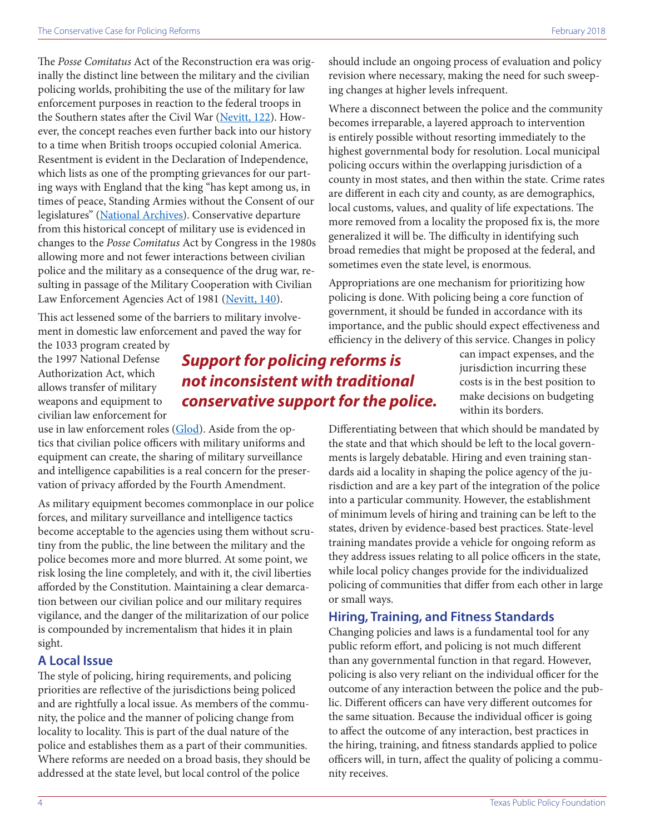The *Posse Comitatus* Act of the Reconstruction era was originally the distinct line between the military and the civilian policing worlds, prohibiting the use of the military for law enforcement purposes in reaction to the federal troops in the Southern states after the Civil War ([Nevitt, 122\)](https://poseidon01.ssrn.com/delivery.php?ID=186110029069011094070072104120016081054087021052029007119070074009005029071021067065016043025056016121004084008124125009092094027086028018020067015012081126113015109021049007069102124117110096096127120117019116096077092122064116068015097093116072114102&EXT=pdf). However, the concept reaches even further back into our history to a time when British troops occupied colonial America. Resentment is evident in the Declaration of Independence, which lists as one of the prompting grievances for our parting ways with England that the king "has kept among us, in times of peace, Standing Armies without the Consent of our legislatures" ([National Archives\)](https://www.archives.gov/founding-docs/declaration-transcript). Conservative departure from this historical concept of military use is evidenced in changes to the *Posse Comitatus* Act by Congress in the 1980s allowing more and not fewer interactions between civilian police and the military as a consequence of the drug war, resulting in passage of the Military Cooperation with Civilian Law Enforcement Agencies Act of 1981 [\(Nevitt, 140](https://poseidon01.ssrn.com/delivery.php?ID=186110029069011094070072104120016081054087021052029007119070074009005029071021067065016043025056016121004084008124125009092094027086028018020067015012081126113015109021049007069102124117110096096127120117019116096077092122064116068015097093116072114102&EXT=pdf)).

This act lessened some of the barriers to military involvement in domestic law enforcement and paved the way for

the 1033 program created by the 1997 National Defense Authorization Act, which allows transfer of military weapons and equipment to civilian law enforcement for

## *Support for policing reforms is not inconsistent with traditional conservative support for the police.*

use in law enforcement roles ([Glod\)](http://www.mrt.com/opinion/article/How-a-little-known-program-has-turned-local-law-7412756.php). Aside from the optics that civilian police officers with military uniforms and equipment can create, the sharing of military surveillance and intelligence capabilities is a real concern for the preservation of privacy afforded by the Fourth Amendment.

As military equipment becomes commonplace in our police forces, and military surveillance and intelligence tactics become acceptable to the agencies using them without scrutiny from the public, the line between the military and the police becomes more and more blurred. At some point, we risk losing the line completely, and with it, the civil liberties afforded by the Constitution. Maintaining a clear demarcation between our civilian police and our military requires vigilance, and the danger of the militarization of our police is compounded by incrementalism that hides it in plain sight.

#### **A Local Issue**

The style of policing, hiring requirements, and policing priorities are reflective of the jurisdictions being policed and are rightfully a local issue. As members of the community, the police and the manner of policing change from locality to locality. This is part of the dual nature of the police and establishes them as a part of their communities. Where reforms are needed on a broad basis, they should be addressed at the state level, but local control of the police

should include an ongoing process of evaluation and policy revision where necessary, making the need for such sweeping changes at higher levels infrequent.

Where a disconnect between the police and the community becomes irreparable, a layered approach to intervention is entirely possible without resorting immediately to the highest governmental body for resolution. Local municipal policing occurs within the overlapping jurisdiction of a county in most states, and then within the state. Crime rates are different in each city and county, as are demographics, local customs, values, and quality of life expectations. The more removed from a locality the proposed fix is, the more generalized it will be. The difficulty in identifying such broad remedies that might be proposed at the federal, and sometimes even the state level, is enormous.

Appropriations are one mechanism for prioritizing how policing is done. With policing being a core function of government, it should be funded in accordance with its importance, and the public should expect effectiveness and efficiency in the delivery of this service. Changes in policy

can impact expenses, and the jurisdiction incurring these costs is in the best position to make decisions on budgeting within its borders.

Differentiating between that which should be mandated by the state and that which should be left to the local governments is largely debatable. Hiring and even training standards aid a locality in shaping the police agency of the jurisdiction and are a key part of the integration of the police into a particular community. However, the establishment of minimum levels of hiring and training can be left to the states, driven by evidence-based best practices. State-level training mandates provide a vehicle for ongoing reform as they address issues relating to all police officers in the state, while local policy changes provide for the individualized policing of communities that differ from each other in large or small ways.

#### **Hiring, Training, and Fitness Standards**

Changing policies and laws is a fundamental tool for any public reform effort, and policing is not much different than any governmental function in that regard. However, policing is also very reliant on the individual officer for the outcome of any interaction between the police and the public. Different officers can have very different outcomes for the same situation. Because the individual officer is going to affect the outcome of any interaction, best practices in the hiring, training, and fitness standards applied to police officers will, in turn, affect the quality of policing a community receives.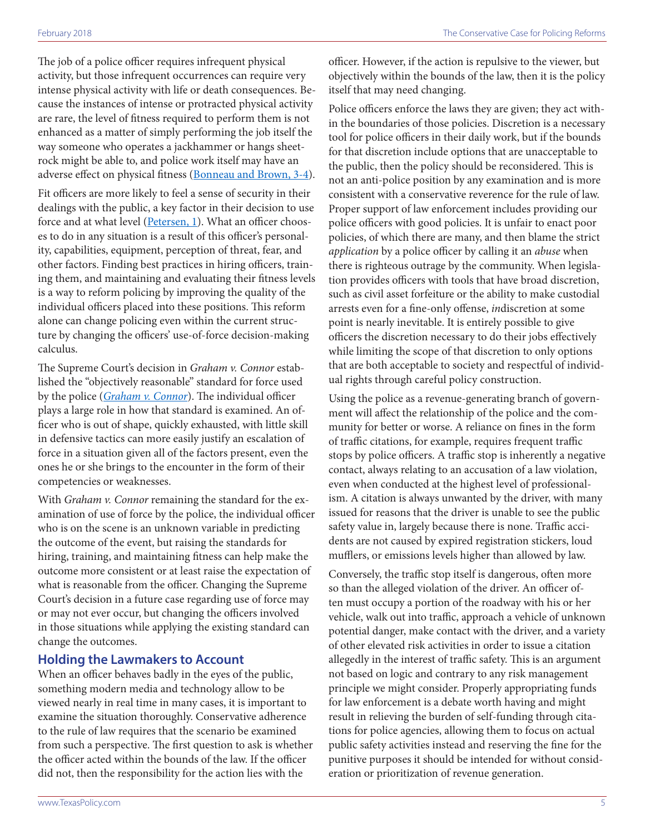The job of a police officer requires infrequent physical activity, but those infrequent occurrences can require very intense physical activity with life or death consequences. Because the instances of intense or protracted physical activity are rare, the level of fitness required to perform them is not enhanced as a matter of simply performing the job itself the way someone who operates a jackhammer or hangs sheetrock might be able to, and police work itself may have an adverse effect on physical fitness ([Bonneau and Brown, 3-4\)](https://www.publicsafety.gc.ca/lbrr/archives/cnmcs-plcng/cn28507-eng.pdf).

Fit officers are more likely to feel a sense of security in their dealings with the public, a key factor in their decision to use force and at what level ([Petersen, 1](https://www.texaspolicy.com/library/doclib/2017-03-BA06-BillAnalysis-FitnessTestingLawEnforcement-HB603-CEJ-RandyPe....pdf)). What an officer chooses to do in any situation is a result of this officer's personality, capabilities, equipment, perception of threat, fear, and other factors. Finding best practices in hiring officers, training them, and maintaining and evaluating their fitness levels is a way to reform policing by improving the quality of the individual officers placed into these positions. This reform alone can change policing even within the current structure by changing the officers' use-of-force decision-making calculus.

The Supreme Court's decision in *Graham v. Connor* established the "objectively reasonable" standard for force used by the police (*[Graham v. Connor](http://caselaw.findlaw.com/us-supreme-court/490/386.html)*). The individual officer plays a large role in how that standard is examined. An officer who is out of shape, quickly exhausted, with little skill in defensive tactics can more easily justify an escalation of force in a situation given all of the factors present, even the ones he or she brings to the encounter in the form of their competencies or weaknesses.

With *[Graham v. Connor](http://caselaw.findlaw.com/us-supreme-court/490/386.html)* remaining the standard for the examination of use of force by the police, the individual officer who is on the scene is an unknown variable in predicting the outcome of the event, but raising the standards for hiring, training, and maintaining fitness can help make the outcome more consistent or at least raise the expectation of what is reasonable from the officer. Changing the Supreme Court's decision in a future case regarding use of force may or may not ever occur, but changing the officers involved in those situations while applying the existing standard can change the outcomes.

## **Holding the Lawmakers to Account**

When an officer behaves badly in the eyes of the public, something modern media and technology allow to be viewed nearly in real time in many cases, it is important to examine the situation thoroughly. Conservative adherence to the rule of law requires that the scenario be examined from such a perspective. The first question to ask is whether the officer acted within the bounds of the law. If the officer did not, then the responsibility for the action lies with the

officer. However, if the action is repulsive to the viewer, but objectively within the bounds of the law, then it is the policy itself that may need changing.

Police officers enforce the laws they are given; they act within the boundaries of those policies. Discretion is a necessary tool for police officers in their daily work, but if the bounds for that discretion include options that are unacceptable to the public, then the policy should be reconsidered. This is not an anti-police position by any examination and is more consistent with a conservative reverence for the rule of law. Proper support of law enforcement includes providing our police officers with good policies. It is unfair to enact poor policies, of which there are many, and then blame the strict *application* by a police officer by calling it an *abuse* when there is righteous outrage by the community. When legislation provides officers with tools that have broad discretion, such as civil asset forfeiture or the ability to make custodial arrests even for a fine-only offense, *in*discretion at some point is nearly inevitable. It is entirely possible to give officers the discretion necessary to do their jobs effectively while limiting the scope of that discretion to only options that are both acceptable to society and respectful of individual rights through careful policy construction.

Using the police as a revenue-generating branch of government will affect the relationship of the police and the community for better or worse. A reliance on fines in the form of traffic citations, for example, requires frequent traffic stops by police officers. A traffic stop is inherently a negative contact, always relating to an accusation of a law violation, even when conducted at the highest level of professionalism. A citation is always unwanted by the driver, with many issued for reasons that the driver is unable to see the public safety value in, largely because there is none. Traffic accidents are not caused by expired registration stickers, loud mufflers, or emissions levels higher than allowed by law.

Conversely, the traffic stop itself is dangerous, often more so than the alleged violation of the driver. An officer often must occupy a portion of the roadway with his or her vehicle, walk out into traffic, approach a vehicle of unknown potential danger, make contact with the driver, and a variety of other elevated risk activities in order to issue a citation allegedly in the interest of traffic safety. This is an argument not based on logic and contrary to any risk management principle we might consider. Properly appropriating funds for law enforcement is a debate worth having and might result in relieving the burden of self-funding through citations for police agencies, allowing them to focus on actual public safety activities instead and reserving the fine for the punitive purposes it should be intended for without consideration or prioritization of revenue generation.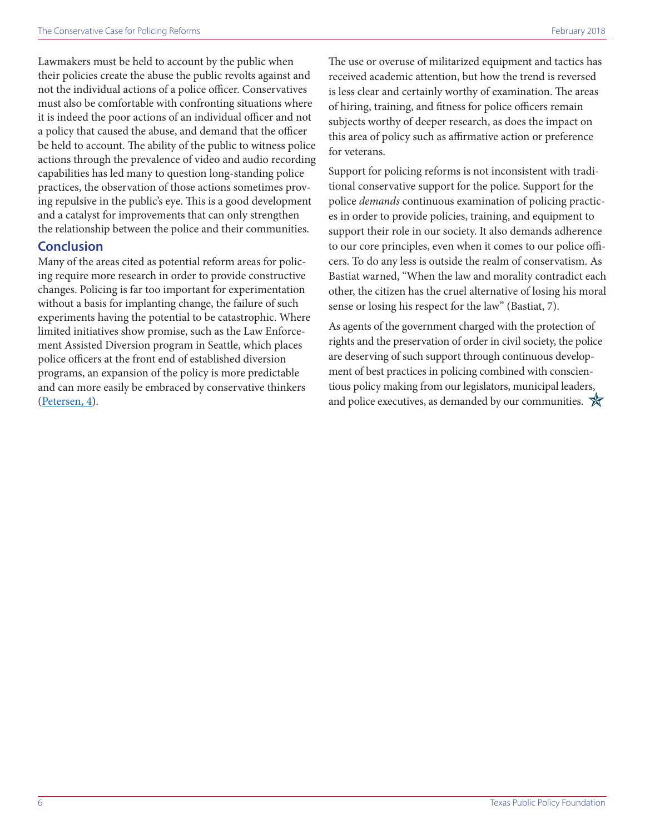Lawmakers must be held to account by the public when their policies create the abuse the public revolts against and not the individual actions of a police officer. Conservatives must also be comfortable with confronting situations where it is indeed the poor actions of an individual officer and not a policy that caused the abuse, and demand that the officer be held to account. The ability of the public to witness police actions through the prevalence of video and audio recording capabilities has led many to question long-standing police practices, the observation of those actions sometimes proving repulsive in the public's eye. This is a good development and a catalyst for improvements that can only strengthen the relationship between the police and their communities.

## **Conclusion**

Many of the areas cited as potential reform areas for policing require more research in order to provide constructive changes. Policing is far too important for experimentation without a basis for implanting change, the failure of such experiments having the potential to be catastrophic. Where limited initiatives show promise, such as the Law Enforcement Assisted Diversion program in Seattle, which places police officers at the front end of established diversion programs, an expansion of the policy is more predictable and can more easily be embraced by conservative thinkers ([Petersen, 4](https://www.texaspolicy.com/library/doclib/2017-03-PP05-PrearrestPrebookingDiversion-CEJ-RandyPeterson.pdf)).

The use or overuse of militarized equipment and tactics has received academic attention, but how the trend is reversed is less clear and certainly worthy of examination. The areas of hiring, training, and fitness for police officers remain subjects worthy of deeper research, as does the impact on this area of policy such as affirmative action or preference for veterans.

Support for policing reforms is not inconsistent with traditional conservative support for the police. Support for the police *demands* continuous examination of policing practices in order to provide policies, training, and equipment to support their role in our society. It also demands adherence to our core principles, even when it comes to our police officers. To do any less is outside the realm of conservatism. As Bastiat warned, "When the law and morality contradict each other, the citizen has the cruel alternative of losing his moral sense or losing his respect for the law" (Bastiat, 7).

As agents of the government charged with the protection of rights and the preservation of order in civil society, the police are deserving of such support through continuous development of best practices in policing combined with conscientious policy making from our legislators, municipal leaders, and police executives, as demanded by our communities.  $\mathcal{R}$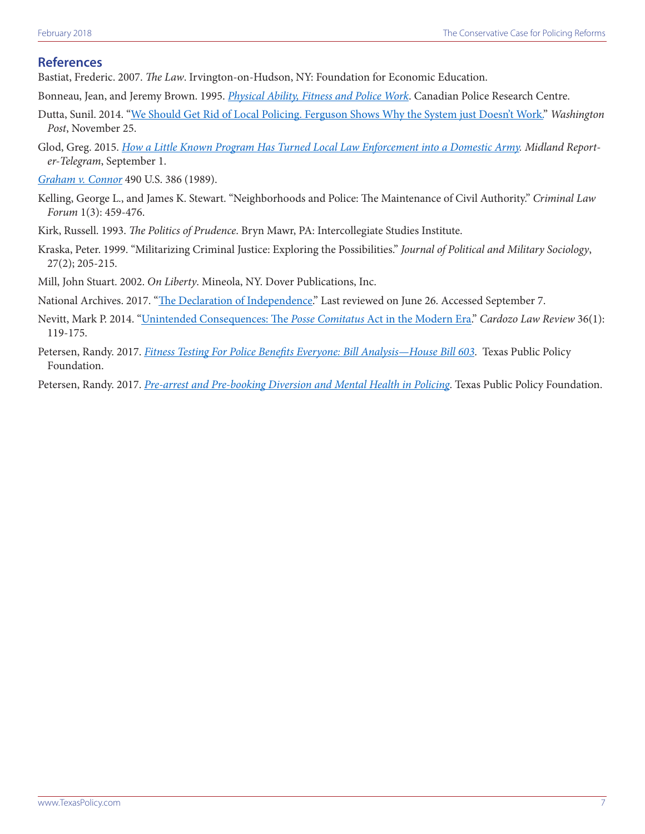### **References**

Bastiat, Frederic. 2007. *The Law*. Irvington-on-Hudson, NY: Foundation for Economic Education.

- Bonneau, Jean, and Jeremy Brown. 1995. *[Physical Ability, Fitness and Police Work](https://www.publicsafety.gc.ca/lbrr/archives/cnmcs-plcng/cn28507-eng.pdf)*. Canadian Police Research Centre.
- Dutta, Sunil. 2014. ["We Should Get Rid of Local Policing. Ferguson Shows Why the System just Doesn't Work."](https://www.washingtonpost.com/posteverything/wp/2014/11/25/we-should-get-rid-of-local-policing-ferguson-shows-why-the-system-just-doesnt-work/?utm_term=.e9adb60fc2c9) *Washington Post*, November 25.
- Glod, Greg. 2015. *[How a Little Known Program Has Turned Local Law Enforcement into a Domestic Army](http://www.mrt.com/opinion/article/How-a-little-known-program-has-turned-local-law-7412756.php). Midland Reporter-Telegram*, September 1.
- *[Graham v. Connor](http://caselaw.findlaw.com/us-supreme-court/490/386.html)* 490 U.S. 386 (1989).
- Kelling, George L., and James K. Stewart. "Neighborhoods and Police: The Maintenance of Civil Authority." *Criminal Law Forum* 1(3): 459-476.
- Kirk, Russell. 1993. *The Politics of Prudence*. Bryn Mawr, PA: Intercollegiate Studies Institute.
- Kraska, Peter. 1999. "Militarizing Criminal Justice: Exploring the Possibilities." *Journal of Political and Military Sociology*, 27(2); 205-215.

Mill, John Stuart. 2002. *On Liberty*. Mineola, NY. Dover Publications, Inc.

National Archives. 2017. "[The Declaration of Independence.](https://www.archives.gov/founding-docs/declaration)" Last reviewed on June 26. Accessed September 7.

- Nevitt, Mark P. 2014. ["Unintended Consequences: The](https://poseidon01.ssrn.com/delivery.php?ID=186110029069011094070072104120016081054087021052029007119070074009005029071021067065016043025056016121004084008124125009092094027086028018020067015012081126113015109021049007069102124117110096096127120117019116096077092122064116068015097093116072114102&EXT=pdf) *Posse Comitatus* Act in the Modern Era." *Cardozo Law Review* 36(1): 119-175.
- Petersen, Randy. 2017. *[Fitness Testing For Police Benefits Everyone: Bill Analysis—House Bill 603](https://www.texaspolicy.com/library/doclib/2017-03-BA06-BillAnalysis-FitnessTestingLawEnforcement-HB603-CEJ-RandyPe....pdf)*. Texas Public Policy Foundation.
- Petersen, Randy. 2017. *[Pre-arrest and Pre-booking Diversion and Mental Health in Policing](https://www.texaspolicy.com/library/doclib/2017-03-PP05-PrearrestPrebookingDiversion-CEJ-RandyPeterson.pdf)*. Texas Public Policy Foundation.